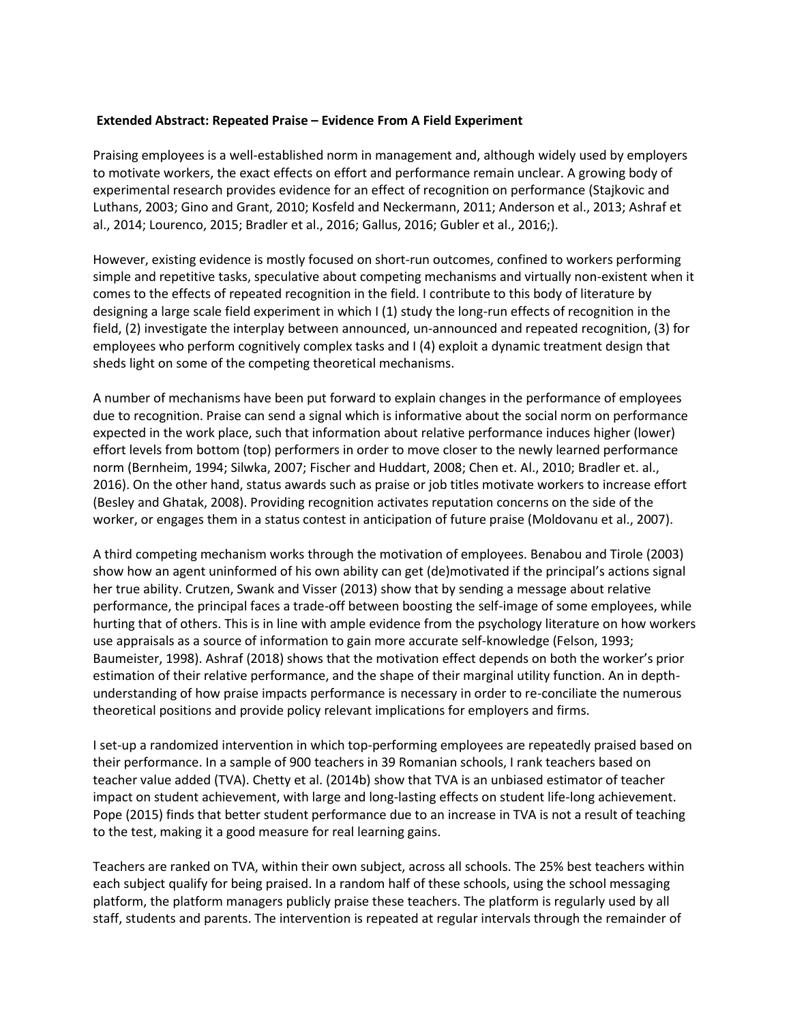## **Extended Abstract: Repeated Praise – Evidence From A Field Experiment**

Praising employees is a well-established norm in management and, although widely used by employers to motivate workers, the exact effects on effort and performance remain unclear. A growing body of experimental research provides evidence for an effect of recognition on performance (Stajkovic and Luthans, 2003; Gino and Grant, 2010; Kosfeld and Neckermann, 2011; Anderson et al., 2013; Ashraf et al., 2014; Lourenco, 2015; Bradler et al., 2016; Gallus, 2016; Gubler et al., 2016;).

However, existing evidence is mostly focused on short-run outcomes, confined to workers performing simple and repetitive tasks, speculative about competing mechanisms and virtually non-existent when it comes to the effects of repeated recognition in the field. I contribute to this body of literature by designing a large scale field experiment in which I (1) study the long-run effects of recognition in the field, (2) investigate the interplay between announced, un-announced and repeated recognition, (3) for employees who perform cognitively complex tasks and I (4) exploit a dynamic treatment design that sheds light on some of the competing theoretical mechanisms.

A number of mechanisms have been put forward to explain changes in the performance of employees due to recognition. Praise can send a signal which is informative about the social norm on performance expected in the work place, such that information about relative performance induces higher (lower) effort levels from bottom (top) performers in order to move closer to the newly learned performance norm (Bernheim, 1994; Silwka, 2007; Fischer and Huddart, 2008; Chen et. Al., 2010; Bradler et. al., 2016). On the other hand, status awards such as praise or job titles motivate workers to increase effort (Besley and Ghatak, 2008). Providing recognition activates reputation concerns on the side of the worker, or engages them in a status contest in anticipation of future praise (Moldovanu et al., 2007).

A third competing mechanism works through the motivation of employees. Benabou and Tirole (2003) show how an agent uninformed of his own ability can get (de)motivated if the principal's actions signal her true ability. Crutzen, Swank and Visser (2013) show that by sending a message about relative performance, the principal faces a trade-off between boosting the self-image of some employees, while hurting that of others. This is in line with ample evidence from the psychology literature on how workers use appraisals as a source of information to gain more accurate self-knowledge (Felson, 1993; Baumeister, 1998). Ashraf (2018) shows that the motivation effect depends on both the worker's prior estimation of their relative performance, and the shape of their marginal utility function. An in depthunderstanding of how praise impacts performance is necessary in order to re-conciliate the numerous theoretical positions and provide policy relevant implications for employers and firms.

I set-up a randomized intervention in which top-performing employees are repeatedly praised based on their performance. In a sample of 900 teachers in 39 Romanian schools, I rank teachers based on teacher value added (TVA). Chetty et al. (2014b) show that TVA is an unbiased estimator of teacher impact on student achievement, with large and long-lasting effects on student life-long achievement. Pope (2015) finds that better student performance due to an increase in TVA is not a result of teaching to the test, making it a good measure for real learning gains.

Teachers are ranked on TVA, within their own subject, across all schools. The 25% best teachers within each subject qualify for being praised. In a random half of these schools, using the school messaging platform, the platform managers publicly praise these teachers. The platform is regularly used by all staff, students and parents. The intervention is repeated at regular intervals through the remainder of